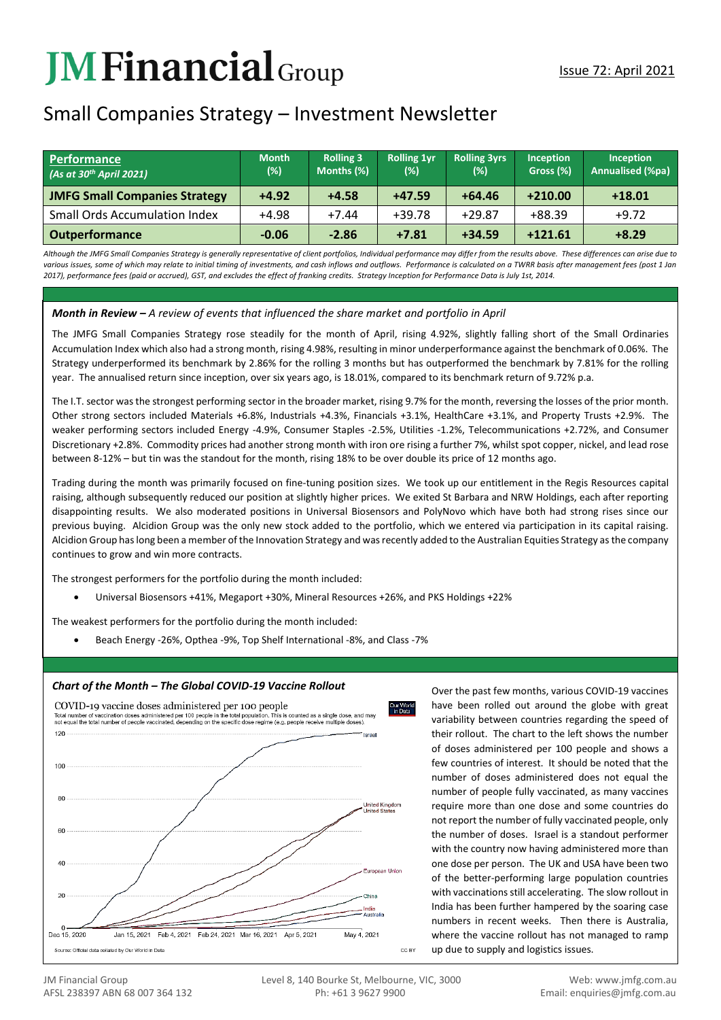# **JMFinancial**Group

## Small Companies Strategy – Investment Newsletter

| Performance<br>$(As$ at 30 <sup>th</sup> April 2021) | <b>Month</b><br>(%) | <b>Rolling 3</b><br>Months (%) | <b>Rolling 1vr</b><br>(%) | <b>Rolling 3yrs</b><br>(%) | Inception<br>Gross (%) | <b>Inception</b><br><b>Annualised (%pa)</b> |
|------------------------------------------------------|---------------------|--------------------------------|---------------------------|----------------------------|------------------------|---------------------------------------------|
| <b>JMFG Small Companies Strategy</b>                 | $+4.92$             | $+4.58$                        | $+47.59$                  | $+64.46$                   | $+210.00$              | $+18.01$                                    |
| <b>Small Ords Accumulation Index</b>                 | +4.98               | $+7.44$                        | $+39.78$                  | $+29.87$                   | $+88.39$               | $+9.72$                                     |
| <b>Outperformance</b>                                | $-0.06$             | $-2.86$                        | $+7.81$                   | $+34.59$                   | $+121.61$              | $+8.29$                                     |

*Although the JMFG Small Companies Strategy is generally representative of client portfolios, Individual performance may differ from the results above. These differences can arise due to*  various issues, some of which may relate to initial timing of investments, and cash inflows and outflows. Performance is calculated on a TWRR basis after management fees (post 1 Jan *2017), performance fees (paid or accrued), GST, and excludes the effect of franking credits. Strategy Inception for Performance Data is July 1st, 2014.*

## *Month in Review – A review of events that influenced the share market and portfolio in April*

The JMFG Small Companies Strategy rose steadily for the month of April, rising 4.92%, slightly falling short of the Small Ordinaries Accumulation Index which also had a strong month, rising 4.98%, resulting in minor underperformance against the benchmark of 0.06%. The Strategy underperformed its benchmark by 2.86% for the rolling 3 months but has outperformed the benchmark by 7.81% for the rolling year. The annualised return since inception, over six years ago, is 18.01%, compared to its benchmark return of 9.72% p.a.

The I.T. sector was the strongest performing sector in the broader market, rising 9.7% for the month, reversing the losses of the prior month. Other strong sectors included Materials +6.8%, Industrials +4.3%, Financials +3.1%, HealthCare +3.1%, and Property Trusts +2.9%. The weaker performing sectors included Energy -4.9%, Consumer Staples -2.5%, Utilities -1.2%, Telecommunications +2.72%, and Consumer Discretionary +2.8%. Commodity prices had another strong month with iron ore rising a further 7%, whilst spot copper, nickel, and lead rose between 8-12% – but tin was the standout for the month, rising 18% to be over double its price of 12 months ago.

Trading during the month was primarily focused on fine-tuning position sizes. We took up our entitlement in the Regis Resources capital raising, although subsequently reduced our position at slightly higher prices. We exited St Barbara and NRW Holdings, each after reporting disappointing results. We also moderated positions in Universal Biosensors and PolyNovo which have both had strong rises since our previous buying. Alcidion Group was the only new stock added to the portfolio, which we entered via participation in its capital raising. Alcidion Group has long been a member of the Innovation Strategy and was recently added to the Australian Equities Strategy as the company continues to grow and win more contracts.

The strongest performers for the portfolio during the month included:

• Universal Biosensors +41%, Megaport +30%, Mineral Resources +26%, and PKS Holdings +22%

The weakest performers for the portfolio during the month included:

• Beach Energy -26%, Opthea -9%, Top Shelf International -8%, and Class -7%

## **Chart of the Month – The Global COVID-19 Vaccine Rollout** Over the past few months, various COVID-19 vaccines



have been rolled out around the globe with great variability between countries regarding the speed of their rollout. The chart to the left shows the number of doses administered per 100 people and shows a few countries of interest. It should be noted that the number of doses administered does not equal the number of people fully vaccinated, as many vaccines require more than one dose and some countries do not report the number of fully vaccinated people, only the number of doses. Israel is a standout performer with the country now having administered more than one dose per person. The UK and USA have been two of the better-performing large population countries with vaccinations still accelerating. The slow rollout in India has been further hampered by the soaring case numbers in recent weeks. Then there is Australia, where the vaccine rollout has not managed to ramp up due to supply and logistics issues.